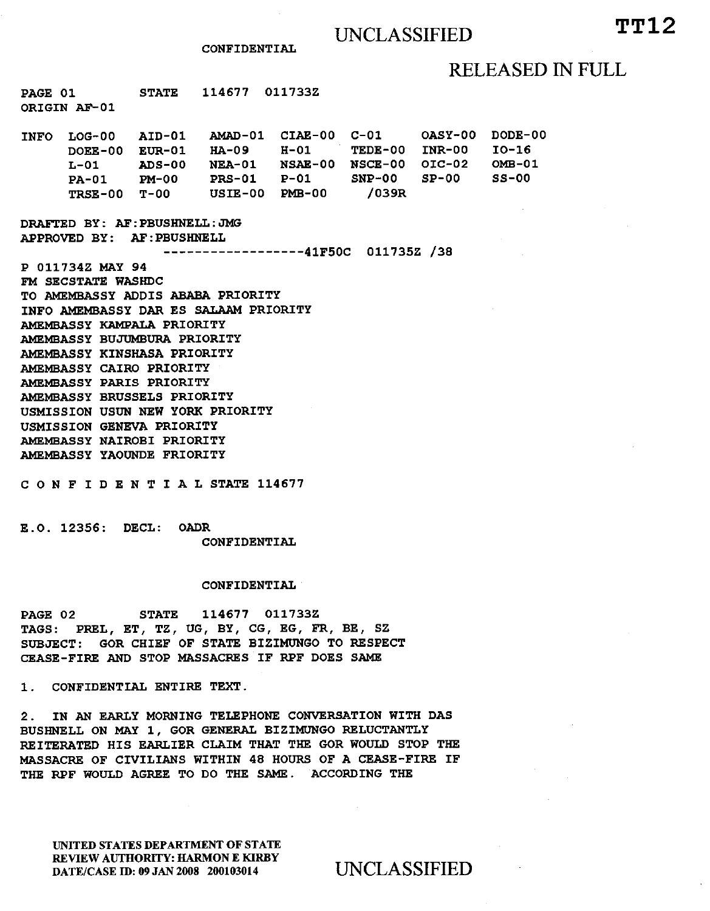## RELEASED IN FULL

**PAGE 01 STATE 114677 011733Z ORIGIN AF-01** 

**INFO LOG-00 AID-01 ANAD-01 CIAE-00 C-01 OASY-00 DODE-00 DOEE-00 EUR-01 HA-09 H-01 TEDE-00 INR-00 10-16 L-01 ADS-00 NEA-01 NSAE-00 NSCE-00 OIC-02<br>
<b>PA-01 PM-00 PRS-01 P-01 SNP-00 SP-00 PA-01 PM-00 PRS-01 P-01 SNP-00 SP-00 3S-00 TRSE-00 T-00 USIE-00 PMB-00** 

**DRAFTED BY: AF:PBUSHNELL:JMG APPROVED BY: AF:PBUSHNELL** 

**41F50C 011735Z** /38

**P 011734Z MAY 94 FM SECSTATE WASHDC TO AMEMBASSY ADDIS ABABA PRIORITY INFO AMEMBASSY DAR ES SALAAM PRIORITY AMEMBASSY KAMPALA PRIORITY AMEMBASSY BUJUMBURA PRIORITY AMEMBASSY KINSHASA PRIORITY AMEMBASSY CAIRO PRIORITY AMEMBASSY PARIS PRIORITY AMEMBASSY BRUSSELS PRIORITY USMISSION USUN NEW YORK PRIORITY USMISSION GENEVA PRIORITY AMEMBASSY NAIROBI PRIORITY AMEMBASSY YAOUNDE FRIORITY** 

**CONFIDENTIALSTATE 114677** 

**E.O. 12356: DECL: OADR CONFIDENTIAL** 

### **CONFIDENTIAL**

**PAGE 02 STATE 114677 011733Z TAGS: PREL, ET, TZ, UG, BY, CG, EG, FR, BE, SZ SUBJECT: GOR CHIEF OF STATE BIZIMUNGO TO RESPECT CEASE-FIRE AND STOP MASSACRES IF RPF DOES SAME** 

**1. CONFIDENTIAL ENTIRE TEXT.** 

**2. IN AN EARLY MORNING TELEPHONE CONVERSATION WITH DAS BUSHNELL ON MAY 1, GOR GENERAL BIZIMUNGO RELUCTANTLY REITERATED HIS EARLIER CLAIM THAT THE GOR WOULD STOP THE MASSACRE OF CIVILIANS WITHIN 48 HOURS OF A CEASE-FIRE IF THE RPF WOULD AGREE TO DO THE SAME. ACCORDING THE** 

UNITED STATES DEPARTMENT OF STATE REVIEW AUTHORITY: HARMON E KIRBY DATE/CASE ID: 09 JAN 2008 200103014 UNCLASSIFIED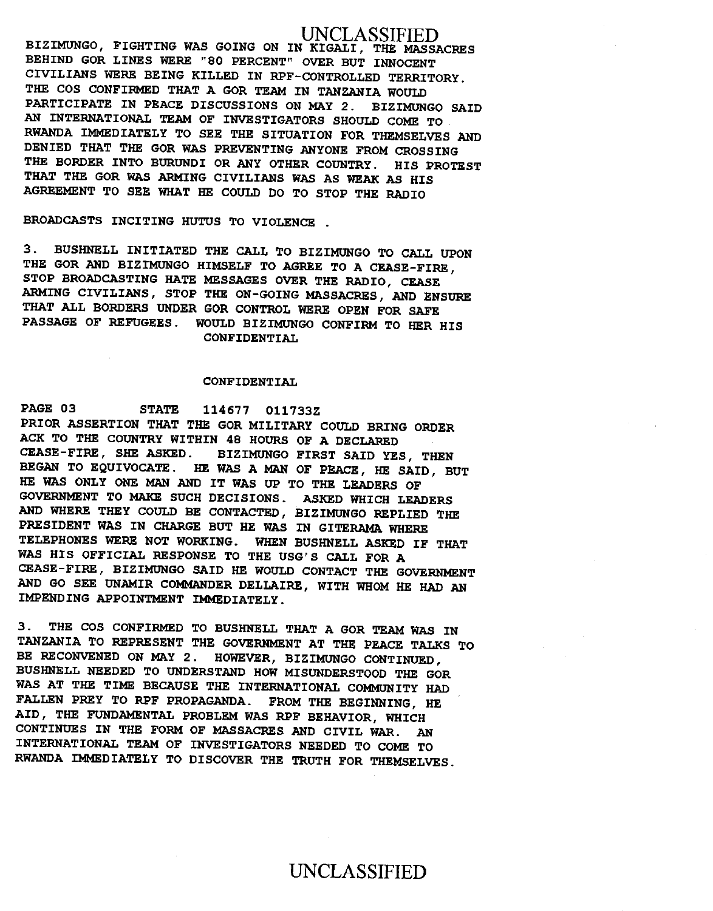## UNCLASSIFIED

**BIZIMUNGO, FIGHTING WAS GOING ON IN KIGALI, THE MASSACRES BEHIND GOR LINES WERE "80 PERCENT" OVER BUT INNOCENT CIVILIANS WERE BEING KILLED IN RPF-CONTROLLED TERRITORY. THE COS CONFIRMED THAT A GOR TEAM IN TANZANIA WOULD PARTICIPATE IN PEACE DISCUSSIONS ON MAY 2. BIZIMUNGO SAID AN INTERNATIONAL TEAM OF INVESTIGATORS SHOULD COME TO RWANDA IMMEDIATELY TO SEE THE SITUATION FOR THEMSELVES AND DENIED THAT THE GOR WAS PREVENTING ANYONE FROM CROSSING THE BORDER INTO BURUNDI OR ANY OTHER COUNTRY. HIS PROTEST THAT THE GOR WAS ARMING CIVILIANS WAS AS WEAK AS HIS AGREEMENT TO SEE WHAT HE COULD DO TO STOP THE RADIO** 

### **BROADCASTS INCITING HUTUS TO VIOLENCE .**

**3. BUSHNELL INITIATED THE CALL TO BIZIMUNGO TO CALL UPON THE GOR AND BIZIMUNGO HIMSELF TO AGREE TO A CEASE-FIRE, STOP BROADCASTING HATE MESSAGES OVER THE RADIO, CEASE ARMING CIVILIANS, STOP THE ON-GOING MASSACRES, AND ENSURE THAT ALL BORDERS UNDER GOR CONTROL WERE OPEN FOR SAFE PASSAGE OF REFUGEES. WOULD BIZIMUNGO CONFIRM TO HER HIS CONFIDENTIAL** 

### **CONFIDENTIAL**

**PAGE 03 STATE 114677 011733Z PRIOR ASSERTION THAT THE GOR MILITARY COULD BRING ORDER ACK TO THE COUNTRY WITHIN 48 HOURS OF A DECLARED CEASE-FIRE, SHE ASKED. BIZIMUNGO FIRST SAID YES, THEN BEGAN TO EQUIVOCATE. HE WAS A MAN OF PEACE, HE SAID, BUT HE WAS ONLY ONE MAN AND IT WAS UP TO THE LEADERS OF GOVERNMENT TO MAKE SUCH DECISIONS. ASKED WHICH LEADERS AND WHERE THEY COULD BE CONTACTED, BIZIMUNGO REPLIED THE PRESIDENT WAS IN CHARGE BUT HE WAS IN GITERAMA WHERE TELEPHONES WERE NOT WORKING. WHEN BUSHNELL ASKED IF THAT WAS HIS OFFICIAL RESPONSE TO THE** USG'S **CALL FOR A CEASE-FIRE, BIZIMUNGO SAID HE WOULD CONTACT THE GOVERNMENT AND GO SEE UNAMIR COMMANDER DELLAIRE, WITH WHOM HE HAD AN IMPENDING APPOINTMENT IMMEDIATELY.** 

**3. THE COS CONFIRMED TO BUSHNELL THAT A GOR TEAM WAS IN TANZANIA TO REPRESENT THE GOVERNMENT AT THE PEACE TALKS TO BE RECONVENED ON MAY 2. HOWEVER, BIZIMUNGO CONTINUED, BUSHNELL NEEDED TO UNDERSTAND HOW MISUNDERSTOOD THE GOR WAS AT THE TIME BECAUSE THE INTERNATIONAL COMMUNITY HAD FALLEN PREY TO RPF PROPAGANDA. FROM THE BEGINNING, HE AID, THE FUNDAMENTAL PROBLEM WAS RPF BEHAVIOR, WHICH CONTINUES IN THE FORM OF MASSACRES AND CIVIL WAR. AN INTERNATIONAL TEAM OF INVESTIGATORS NEEDED TO COME TO RWANDA IMMEDIATELY TO DISCOVER THE TRUTH FOR THEMSELVES.** 

# UNCLASSIFIED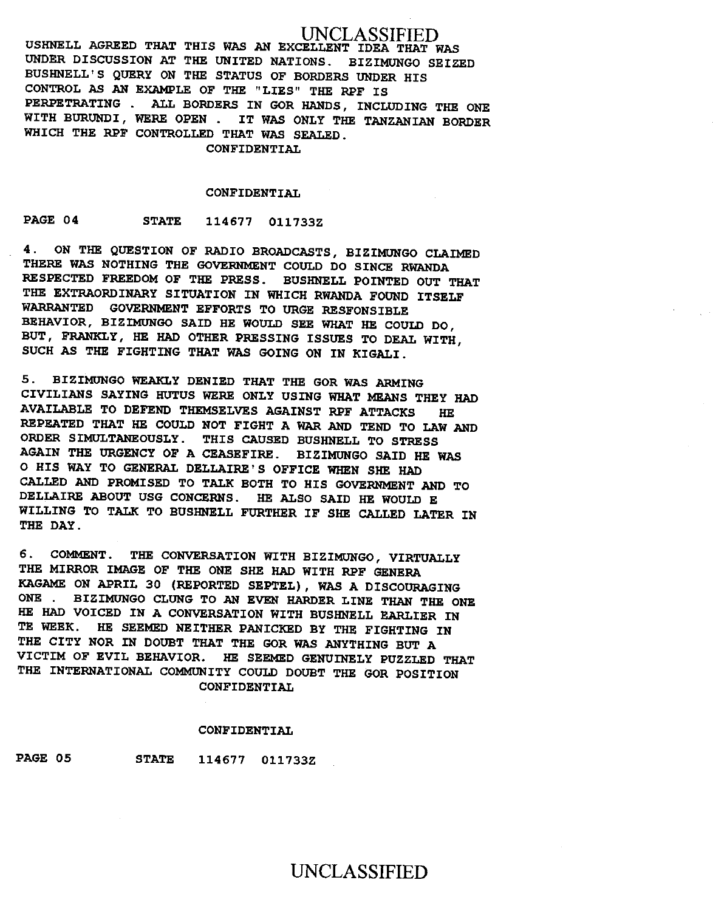UNCLASSIFIED **USHNELL AGREED THAT THIS WAS AN EXCELLENT IDEA THAT WAS UNDER DISCUSSION AT THE UNITED NATIONS. BIZIMUNGO SEIZED BUSHNELL'S QUERY ON THE STATUS OF BORDERS UNDER HIS CONTROL AS AN EXAMPLE OF THE "LIES" THE** RPF **IS PERPETRATING . ALL BORDERS IN GOR HANDS, INCLUDING THE ONE WITH BURUNDI, WERE OPEN . IT WAS ONLY THE TANZANIAN BORDER WHICH THE RPF CONTROLLED THAT WAS SEALED.** 

**CONFIDENTIAL** 

### **CONFIDENTIAL**

**PAGE 04 STATE 114677 011733Z** 

**4. ON THE QUESTION OF RADIO BROADCASTS, BIZIMUNGO CLAIMED THERE WAS NOTHING THE GOVERNMENT COULD DO SINCE RWANDA RESPECTED FREEDOM OF THE PRESS. BUSHNELL POINTED OUT THAT THE EXTRAORDINARY SITUATION IN WHICH RWANDA FOUND ITSELF WARRANTED GOVERNMENT EFFORTS TO URGE RESPONSIBLE BEHAVIOR, BIZIMUNGO SAID HE WOULD SEE WHAT HE COULD DO, BUT, FRANKLY, HE HAD OTHER PRESSING ISSUES TO DEAL WITH, SUCH AS THE FIGHTING THAT WAS GOING ON IN KIGALI.** 

**5. BIZIMUNGO WEAKLY DENIED THAT THE GOR WAS ARMING CIVILIANS SAYING HUTUS WERE ONLY USING WHAT MEANS THEY HAD AVAILABLE TO DEFEND THEMSELVES AGAINST RPF ATTACKS HE REPEATED THAT HE COULD NOT FIGHT A WAR AND TEND TO LAW AND ORDER SIMULTANEOUSLY. THIS CAUSED BUSHNELL TO STRESS AGAIN THE URGENCY OF A CEASEFIRE. BIZIMUNGO SAID HE WAS O HIS WAY TO GENERAL DELLAIRE'S OFFICE WHEN SHE HAD CALLED AND PROMISED TO TALK BOTH TO HIS GOVERNMENT AND TO DELLAIRE ABOUT** USG **CONCERNS. HE ALSO SAID HE WOULD E WILLING TO TALK TO BUSHNELL FURTHER IF SHE CALLED LATER IN THE DAY.** 

**6. COMMENT. THE CONVERSATION WITH BIZIMUNGO, VIRTUALLY THE MIRROR IMAGE OF THE ONE SHE HAD WITH RPF GENERA KAGAME ON APRIL 30 (REPORTED SEPTEL), WAS A DISCOURAGING ONE . BIZIMUNGO CLUNG TO AN EVEN HARDER LINE THAN THE ONE HE HAD VOICED IN A CONVERSATION WITH BUSHNELL EARLIER IN TE WEEK. HE SEEMED NEITHER PANICKED BY THE FIGHTING IN THE CITY NOR IN DOUBT THAT THE GOR WAS ANYTHING BUT A VICTIM OF EVIL BEHAVIOR. HE SEEMED GENUINELY PUZZLED THAT THE INTERNATIONAL COMMUNITY COULD DOUBT THE GOR POSITION CONFIDENTIAL** 

### **CONFIDENTIAL**

**PAGE 05 STATE 114677 011733Z** 

# UNCLASSIFIED